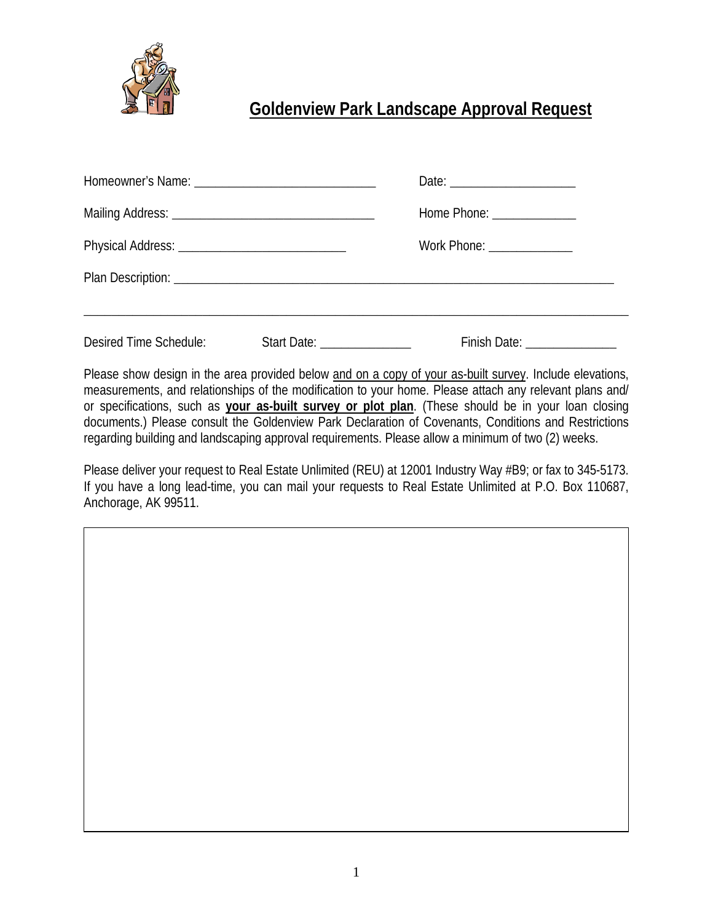

## **Goldenview Park Landscape Approval Request**

|                        |                                      | Home Phone: ________________   |
|------------------------|--------------------------------------|--------------------------------|
|                        |                                      | Work Phone: _______________    |
|                        |                                      |                                |
| Desired Time Schedule: | Start Date: <u>____________</u> ____ | Finish Date: _________________ |

Please show design in the area provided below and on a copy of your as-built survey. Include elevations, measurements, and relationships of the modification to your home. Please attach any relevant plans and/ or specifications, such as **your as-built survey or plot plan**. (These should be in your loan closing documents.) Please consult the Goldenview Park Declaration of Covenants, Conditions and Restrictions regarding building and landscaping approval requirements. Please allow a minimum of two (2) weeks.

Please deliver your request to Real Estate Unlimited (REU) at 12001 Industry Way #B9; or fax to 345-5173. If you have a long lead-time, you can mail your requests to Real Estate Unlimited at P.O. Box 110687, Anchorage, AK 99511.